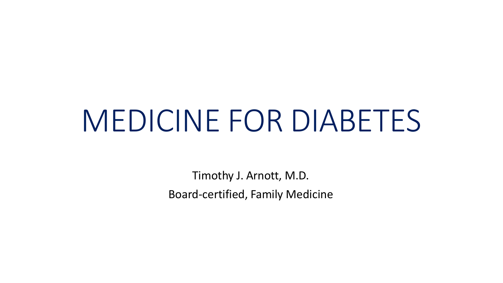### MEDICINE FOR DIABETES

Timothy J. Arnott, M.D. Board-certified, Family Medicine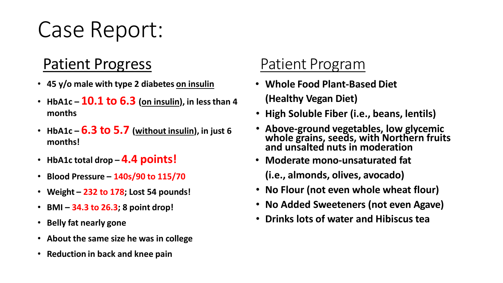#### Case Report:

#### Patient Progress

- **45 y/o male with type 2 diabetes on insulin**
- **HbA1c – 10.1 to 6.3 (on insulin), in lessthan 4 months**
- **HbA1c – 6.3 to 5.7 (without insulin), in just 6 months!**
- **HbA1c total drop – 4.4 points!**
- **Blood Pressure – 140s/90 to 115/70**
- **Weight – 232 to 178; Lost 54 pounds!**
- **BMI – 34.3 to 26.3; 8 point drop!**
- **Belly fat nearly gone**
- **About the same size he was in college**
- **Reduction in back and knee pain**

#### Patient Program

- **Whole Food Plant-Based Diet (Healthy Vegan Diet)**
- **High Soluble Fiber (i.e., beans, lentils)**
- **Above-ground vegetables, low glycemic whole grains, seeds, with Northern fruits and unsalted nuts in moderation**
- **Moderate mono-unsaturated fat (i.e., almonds, olives, avocado)**
- **No Flour (not even whole wheat flour)**
- **No Added Sweeteners (not even Agave)**
- **Drinks lots of water and Hibiscus tea**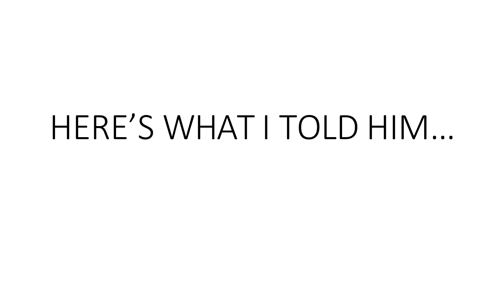## HERE'S WHAT I TOLD HIM...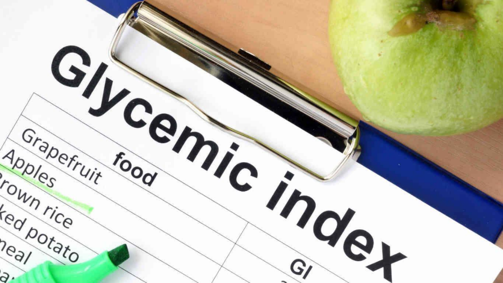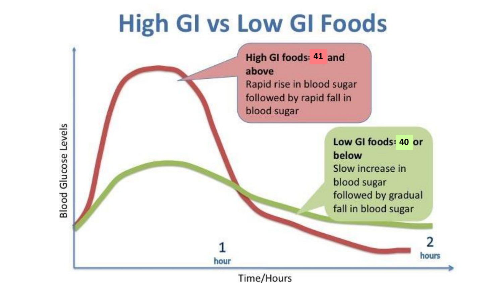## **High GI vs Low GI Foods**

**Blood Glucose Levels** 



Low GI foods: 40 or below Slow increase in blood sugar followed by gradual fall in blood sugar

hours

#### Time/Hours

hour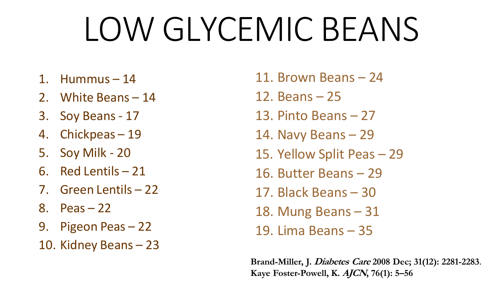# LOW GLYCEMIC BEANS

- 1. Hummus 14
- 2. White Beans 14
- 3. Soy Beans- 17
- 4. Chickpeas 19
- 5. Soy Milk 20
- 6. Red Lentils 21
- 7. Green Lentils 22
- 8. Peas 22
- 9. Pigeon Peas 22
- 10. Kidney Beans 23
- 11. Brown Beans 24
- 12. Beans 25
- 13. Pinto Beans 27
- 14. Navy Beans 29
- 15. Yellow Split Peas 29
- 16. Butter Beans 29
- 17. Black Beans 30
- 18. Mung Beans 31
- 19. Lima Beans 35

**Brand-Miller, J. Diabetes Care 2008 Dec; 31(12): 2281-2283**. **Kaye Foster-Powell, K. AJCN, 76(1): 5–56**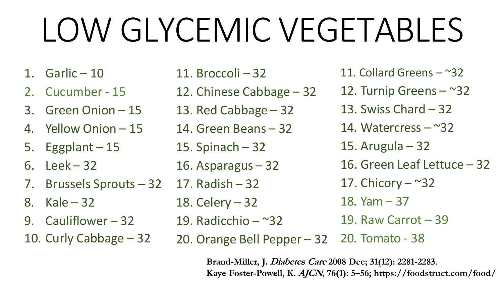# LOW GLYCEMIC VEGETABLES

- 1. Garlic 10
- 2. Cucumber 15
- 3. Green Onion 15
- 4. Yellow Onion 15
- 5. Eggplant 15
- 6. Leek 32
- 7. Brussels Sprouts 32
- 8. Kale 32
- 9. Cauliflower 32
- 10. Curly Cabbage 32
- 11. Broccoli 32
- 12. Chinese Cabbage 32
- 13. Red Cabbage 32
- 14. Green Beans 32
- 15. Spinach 32
- 16. Asparagus 32
- 17. Radish 32
	- 18. Celery 32
	- 19. Radicchio ~32
	- 20. Orange Bell Pepper 32 20. Tomato - 38

**Brand-Miller, J. Diabetes Care 2008 Dec; 31(12): 2281-2283**. **Kaye Foster-Powell, K. AJCN, 76(1): 5–56; https://foodstruct.com/food/**

11. Collard Greens – ~32

- 12. Turnip Greens ~32
- 13. Swiss Chard 32
- 14. Watercress ~32
- 15. Arugula 32
- 16. Green Leaf Lettuce 32
- 17. Chicory  $-$  ~32
- 18. Yam 37
- 19. Raw Carrot 39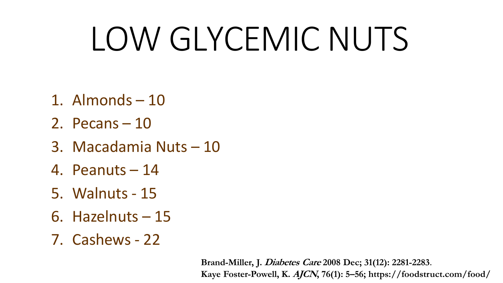# LOW GLYCEMIC NUTS

- 1. Almonds 10
- 2. Pecans 10
- 3. Macadamia Nuts 10
- 4. Peanuts 14
- 5. Walnuts 15
- 6. Hazelnuts 15
- 7. Cashews 22

**Brand-Miller, J. Diabetes Care 2008 Dec; 31(12): 2281-2283**. **Kaye Foster-Powell, K. AJCN, 76(1): 5–56; https://foodstruct.com/food/**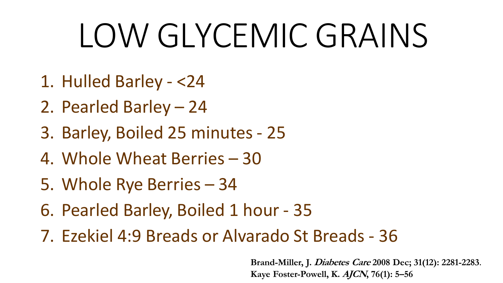# LOW GLYCEMIC GRAINS

- 1. Hulled Barley <24
- 2. Pearled Barley 24
- 3. Barley, Boiled 25 minutes 25
- 4. Whole Wheat Berries 30
- 5. Whole Rye Berries 34
- 6. Pearled Barley, Boiled 1 hour 35
- 7. Ezekiel 4:9 Breads or Alvarado St Breads 36

**Brand-Miller, J. Diabetes Care 2008 Dec; 31(12): 2281-2283**. **Kaye Foster-Powell, K. AJCN, 76(1): 5–56**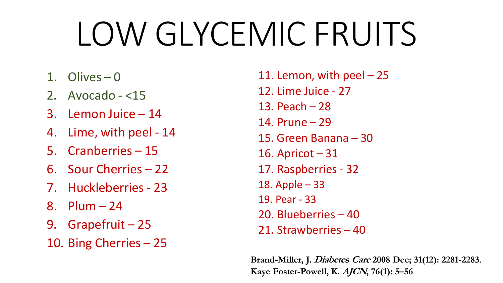# LOW GLYCEMIC FRUITS

- 1. Olives  $-0$
- 2. Avocado <15
- 3. Lemon Juice 14
- 4. Lime, with peel 14
- 5. Cranberries 15
- 6. Sour Cherries 22
- 7. Huckleberries- 23
- 8. Plum 24
- 9. Grapefruit 25
- 10. Bing Cherries 25
- 11. Lemon, with peel 25
- 12. Lime Juice 27
- 13. Peach 28
- 14. Prune 29
- 15. Green Banana 30
- 16. Apricot 31
- 17. Raspberries 32
- 18. Apple 33
- 19. Pear 33
- 20. Blueberries 40
- 21. Strawberries 40

**Brand-Miller, J. Diabetes Care 2008 Dec; 31(12): 2281-2283**. **Kaye Foster-Powell, K. AJCN, 76(1): 5–56**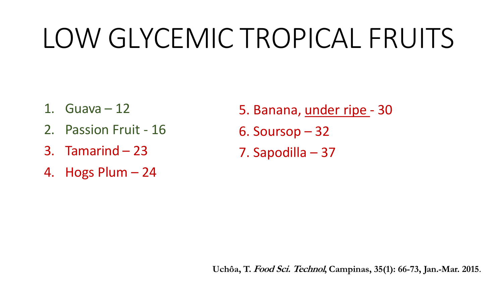### LOW GLYCEMIC TROPICAL FRUITS

- 1. Guava 12
- 2. Passion Fruit 16
- 3. Tamarind 23
- 4. Hogs Plum 24
- 5. Banana, under ripe 30
- 6. Soursop 32
- 7. Sapodilla 37

**Uchôa, T. Food Sci. Technol, Campinas, 35(1): 66-73, Jan.-Mar. 2015**.